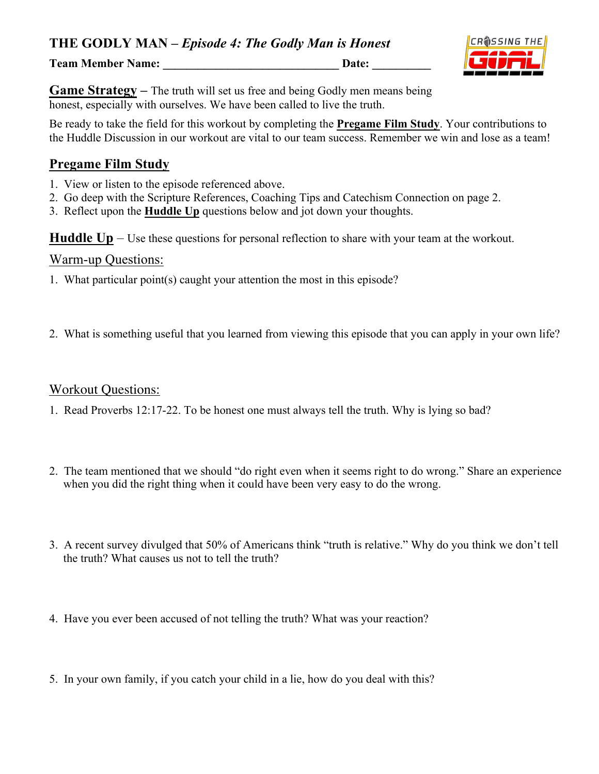Team Member Name: **Letter Accord 2 and 2 and 2 and 2 and 2 and 2 and 2 and 2 and 2 and 2 and 2 and 2 and 2 and 2 and 2 and 2 and 2 and 2 and 2 and 2 and 2 and 2 and 2 and 2 and 2 and 2 and 2 and 2 and 2 and 2 and 2 and 2 a** 



**Game Strategy** – The truth will set us free and being Godly men means being honest, especially with ourselves. We have been called to live the truth.

Be ready to take the field for this workout by completing the **Pregame Film Study**. Your contributions to the Huddle Discussion in our workout are vital to our team success. Remember we win and lose as a team!

#### **Pregame Film Study**

- 1. View or listen to the episode referenced above.
- 2. Go deep with the Scripture References, Coaching Tips and Catechism Connection on page 2.
- 3. Reflect upon the **Huddle Up** questions below and jot down your thoughts.

**Huddle Up** – Use these questions for personal reflection to share with your team at the workout.

#### Warm-up Questions:

- 1. What particular point(s) caught your attention the most in this episode?
- 2. What is something useful that you learned from viewing this episode that you can apply in your own life?

#### Workout Questions:

- 1. Read Proverbs 12:17-22. To be honest one must always tell the truth. Why is lying so bad?
- 2. The team mentioned that we should "do right even when it seems right to do wrong." Share an experience when you did the right thing when it could have been very easy to do the wrong.
- 3. A recent survey divulged that 50% of Americans think "truth is relative." Why do you think we don't tell the truth? What causes us not to tell the truth?
- 4. Have you ever been accused of not telling the truth? What was your reaction?
- 5. In your own family, if you catch your child in a lie, how do you deal with this?